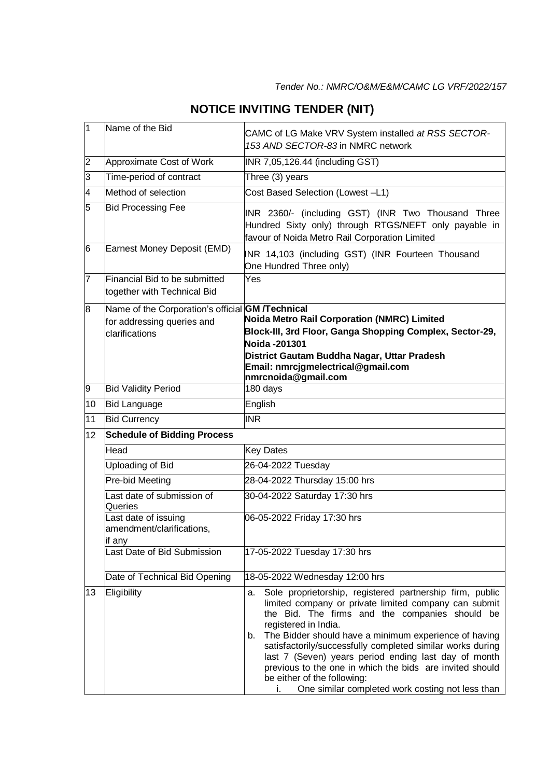| $\overline{1}$  | Name of the Bid                                                                                         | CAMC of LG Make VRV System installed at RSS SECTOR-<br>153 AND SECTOR-83 in NMRC network                                                                                                                                                                                                                                                                                                                                                                                                                                                    |
|-----------------|---------------------------------------------------------------------------------------------------------|---------------------------------------------------------------------------------------------------------------------------------------------------------------------------------------------------------------------------------------------------------------------------------------------------------------------------------------------------------------------------------------------------------------------------------------------------------------------------------------------------------------------------------------------|
| $\overline{2}$  | Approximate Cost of Work                                                                                | INR 7,05,126.44 (including GST)                                                                                                                                                                                                                                                                                                                                                                                                                                                                                                             |
| $\overline{3}$  | Time-period of contract                                                                                 | Three (3) years                                                                                                                                                                                                                                                                                                                                                                                                                                                                                                                             |
| 4               | Method of selection                                                                                     | Cost Based Selection (Lowest -L1)                                                                                                                                                                                                                                                                                                                                                                                                                                                                                                           |
| 5               | <b>Bid Processing Fee</b>                                                                               | INR 2360/- (including GST) (INR Two Thousand Three<br>Hundred Sixty only) through RTGS/NEFT only payable in<br>favour of Noida Metro Rail Corporation Limited                                                                                                                                                                                                                                                                                                                                                                               |
| 6               | Earnest Money Deposit (EMD)                                                                             | INR 14,103 (including GST) (INR Fourteen Thousand<br>One Hundred Three only)                                                                                                                                                                                                                                                                                                                                                                                                                                                                |
| 7               | Financial Bid to be submitted<br>together with Technical Bid                                            | Yes                                                                                                                                                                                                                                                                                                                                                                                                                                                                                                                                         |
| 8               | Name of the Corporation's official <b>GM /Technical</b><br>for addressing queries and<br>clarifications | <b>Noida Metro Rail Corporation (NMRC) Limited</b><br>Block-III, 3rd Floor, Ganga Shopping Complex, Sector-29,<br>Noida -201301<br>District Gautam Buddha Nagar, Uttar Pradesh<br>Email: nmrcjgmelectrical@gmail.com<br>nmrcnoida@gmail.com                                                                                                                                                                                                                                                                                                 |
| 9               | <b>Bid Validity Period</b>                                                                              | 180 days                                                                                                                                                                                                                                                                                                                                                                                                                                                                                                                                    |
| 10              | <b>Bid Language</b>                                                                                     | English                                                                                                                                                                                                                                                                                                                                                                                                                                                                                                                                     |
| 11              | <b>Bid Currency</b>                                                                                     | <b>INR</b>                                                                                                                                                                                                                                                                                                                                                                                                                                                                                                                                  |
| 12 <sup>°</sup> | <b>Schedule of Bidding Process</b>                                                                      |                                                                                                                                                                                                                                                                                                                                                                                                                                                                                                                                             |
|                 | Head                                                                                                    | <b>Key Dates</b>                                                                                                                                                                                                                                                                                                                                                                                                                                                                                                                            |
|                 | Uploading of Bid                                                                                        | 26-04-2022 Tuesday                                                                                                                                                                                                                                                                                                                                                                                                                                                                                                                          |
|                 | Pre-bid Meeting                                                                                         | 28-04-2022 Thursday 15:00 hrs                                                                                                                                                                                                                                                                                                                                                                                                                                                                                                               |
|                 | Last date of submission of<br>Queries                                                                   | 30-04-2022 Saturday 17:30 hrs                                                                                                                                                                                                                                                                                                                                                                                                                                                                                                               |
|                 | Last date of issuing<br>amendment/clarifications,<br>if any                                             | 06-05-2022 Friday 17:30 hrs                                                                                                                                                                                                                                                                                                                                                                                                                                                                                                                 |
|                 | Last Date of Bid Submission                                                                             | 17-05-2022 Tuesday 17:30 hrs                                                                                                                                                                                                                                                                                                                                                                                                                                                                                                                |
|                 | Date of Technical Bid Opening                                                                           | 18-05-2022 Wednesday 12:00 hrs                                                                                                                                                                                                                                                                                                                                                                                                                                                                                                              |
| 13              | Eligibility                                                                                             | Sole proprietorship, registered partnership firm, public<br>a.<br>limited company or private limited company can submit<br>the Bid. The firms and the companies should be<br>registered in India.<br>The Bidder should have a minimum experience of having<br>b.<br>satisfactorily/successfully completed similar works during<br>last 7 (Seven) years period ending last day of month<br>previous to the one in which the bids are invited should<br>be either of the following:<br>One similar completed work costing not less than<br>i. |

## **NOTICE INVITING TENDER (NIT)**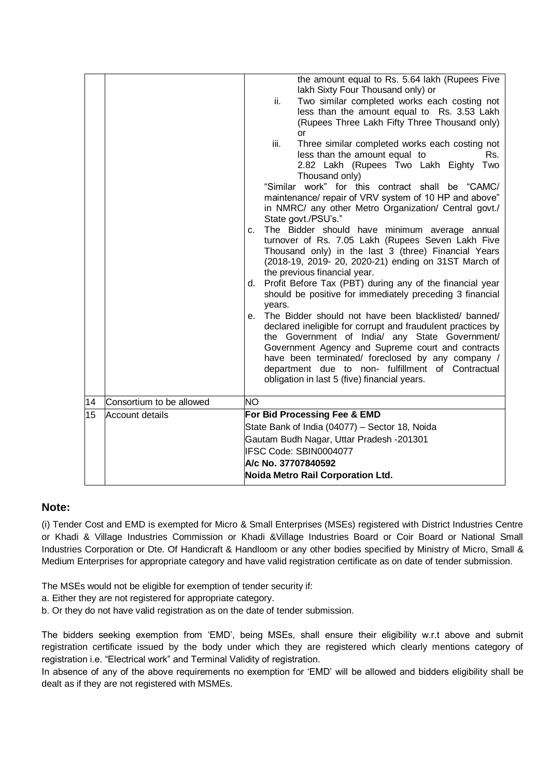|    |                          | the amount equal to Rs. 5.64 lakh (Rupees Five<br>lakh Sixty Four Thousand only) or<br>Two similar completed works each costing not<br>ii.<br>less than the amount equal to Rs. 3.53 Lakh<br>(Rupees Three Lakh Fifty Three Thousand only)<br>$\alpha$<br>iii.<br>Three similar completed works each costing not<br>less than the amount equal to<br>Rs.<br>2.82 Lakh (Rupees Two Lakh Eighty Two<br>Thousand only)<br>"Similar work" for this contract shall be "CAMC/<br>maintenance/ repair of VRV system of 10 HP and above"<br>in NMRC/ any other Metro Organization/ Central govt./<br>State govt./PSU's."<br>The Bidder should have minimum average annual<br>c.<br>turnover of Rs. 7.05 Lakh (Rupees Seven Lakh Five<br>Thousand only) in the last 3 (three) Financial Years<br>(2018-19, 2019- 20, 2020-21) ending on 31ST March of<br>the previous financial year.<br>d. Profit Before Tax (PBT) during any of the financial year<br>should be positive for immediately preceding 3 financial<br>years.<br>The Bidder should not have been blacklisted/ banned/<br>e.<br>declared ineligible for corrupt and fraudulent practices by<br>the Government of India/ any State Government/<br>Government Agency and Supreme court and contracts<br>have been terminated/ foreclosed by any company /<br>department due to non- fulfillment of Contractual<br>obligation in last 5 (five) financial years. |
|----|--------------------------|-----------------------------------------------------------------------------------------------------------------------------------------------------------------------------------------------------------------------------------------------------------------------------------------------------------------------------------------------------------------------------------------------------------------------------------------------------------------------------------------------------------------------------------------------------------------------------------------------------------------------------------------------------------------------------------------------------------------------------------------------------------------------------------------------------------------------------------------------------------------------------------------------------------------------------------------------------------------------------------------------------------------------------------------------------------------------------------------------------------------------------------------------------------------------------------------------------------------------------------------------------------------------------------------------------------------------------------------------------------------------------------------------------------------|
| 14 | Consortium to be allowed | <b>NO</b>                                                                                                                                                                                                                                                                                                                                                                                                                                                                                                                                                                                                                                                                                                                                                                                                                                                                                                                                                                                                                                                                                                                                                                                                                                                                                                                                                                                                       |
| 15 | <b>Account details</b>   | For Bid Processing Fee & EMD<br>State Bank of India (04077) - Sector 18, Noida<br>Gautam Budh Nagar, Uttar Pradesh -201301<br>IFSC Code: SBIN0004077<br>A/c No. 37707840592<br>Noida Metro Rail Corporation Ltd.                                                                                                                                                                                                                                                                                                                                                                                                                                                                                                                                                                                                                                                                                                                                                                                                                                                                                                                                                                                                                                                                                                                                                                                                |

## **Note:**

(i) Tender Cost and EMD is exempted for Micro & Small Enterprises (MSEs) registered with District Industries Centre or Khadi & Village Industries Commission or Khadi &Village Industries Board or Coir Board or National Small Industries Corporation or Dte. Of Handicraft & Handloom or any other bodies specified by Ministry of Micro, Small & Medium Enterprises for appropriate category and have valid registration certificate as on date of tender submission.

The MSEs would not be eligible for exemption of tender security if:

- a. Either they are not registered for appropriate category.
- b. Or they do not have valid registration as on the date of tender submission.

The bidders seeking exemption from 'EMD', being MSEs, shall ensure their eligibility w.r.t above and submit registration certificate issued by the body under which they are registered which clearly mentions category of registration i.e. "Electrical work" and Terminal Validity of registration.

In absence of any of the above requirements no exemption for 'EMD' will be allowed and bidders eligibility shall be dealt as if they are not registered with MSMEs.